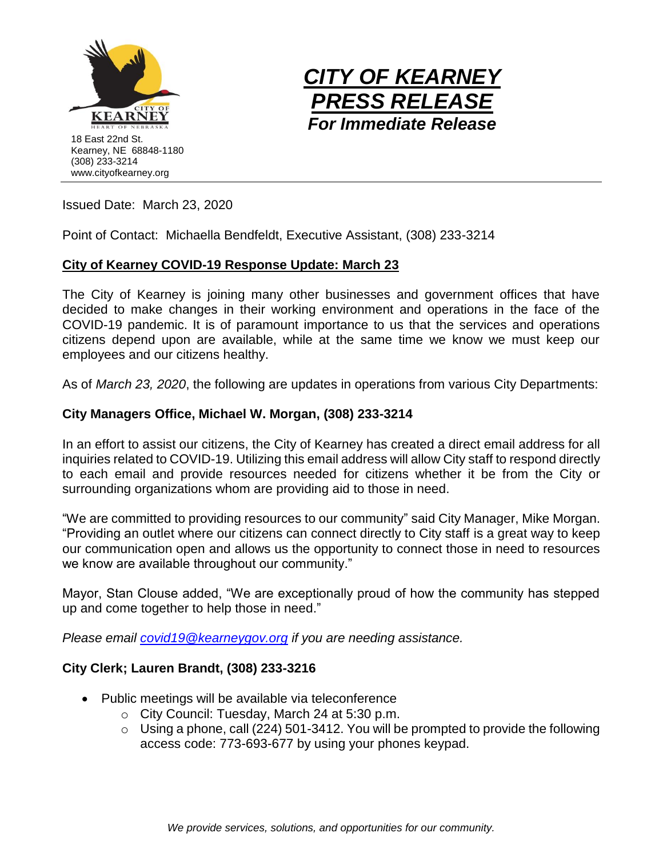



Issued Date: March 23, 2020

Point of Contact: Michaella Bendfeldt, Executive Assistant, (308) 233-3214

# **City of Kearney COVID-19 Response Update: March 23**

The City of Kearney is joining many other businesses and government offices that have decided to make changes in their working environment and operations in the face of the COVID-19 pandemic. It is of paramount importance to us that the services and operations citizens depend upon are available, while at the same time we know we must keep our employees and our citizens healthy.

As of *March 23, 2020*, the following are updates in operations from various City Departments:

# **City Managers Office, Michael W. Morgan, (308) 233-3214**

In an effort to assist our citizens, the City of Kearney has created a direct email address for all inquiries related to COVID-19. Utilizing this email address will allow City staff to respond directly to each email and provide resources needed for citizens whether it be from the City or surrounding organizations whom are providing aid to those in need.

"We are committed to providing resources to our community" said City Manager, Mike Morgan. "Providing an outlet where our citizens can connect directly to City staff is a great way to keep our communication open and allows us the opportunity to connect those in need to resources we know are available throughout our community."

Mayor, Stan Clouse added, "We are exceptionally proud of how the community has stepped up and come together to help those in need."

*Please email [covid19@kearneygov.org](mailto:covid19@kearneygov.org) if you are needing assistance.* 

# **City Clerk; Lauren Brandt, (308) 233-3216**

- Public meetings will be available via teleconference
	- o City Council: Tuesday, March 24 at 5:30 p.m.
	- $\circ$  Using a phone, call (224) 501-3412. You will be prompted to provide the following access code: 773-693-677 by using your phones keypad.